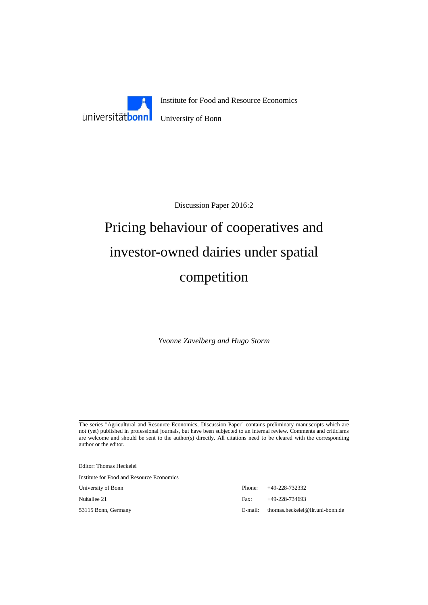

Discussion Paper 2016:2

# Pricing behaviour of cooperatives and investor-owned dairies under spatial competition

*Yvonne Zavelberg and Hugo Storm*

The series "Agricultural and Resource Economics, Discussion Paper" contains preliminary manuscripts which are not (yet) published in professional journals, but have been subjected to an internal review. Comments and criticisms are welcome and should be sent to the author(s) directly. All citations need to be cleared with the corresponding author or the editor.

Editor: Thomas Heckelei Institute for Food and Resource Economics

University of Bonn Phone: +49-228-732332 Nußallee 21 Fax: +49-228-734693 53115 Bonn, Germany E-mail: thomas.heckelei@ilr.uni-bonn.de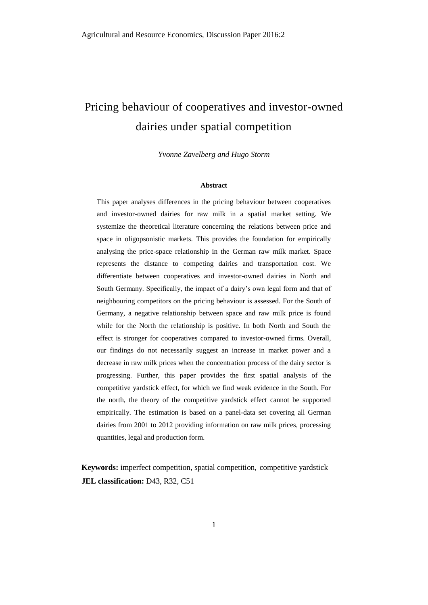# Pricing behaviour of cooperatives and investor-owned dairies under spatial competition

*Yvonne Zavelberg and Hugo Storm*

#### **Abstract**

This paper analyses differences in the pricing behaviour between cooperatives and investor-owned dairies for raw milk in a spatial market setting. We systemize the theoretical literature concerning the relations between price and space in oligopsonistic markets. This provides the foundation for empirically analysing the price-space relationship in the German raw milk market. Space represents the distance to competing dairies and transportation cost. We differentiate between cooperatives and investor-owned dairies in North and South Germany. Specifically, the impact of a dairy's own legal form and that of neighbouring competitors on the pricing behaviour is assessed. For the South of Germany, a negative relationship between space and raw milk price is found while for the North the relationship is positive. In both North and South the effect is stronger for cooperatives compared to investor-owned firms. Overall, our findings do not necessarily suggest an increase in market power and a decrease in raw milk prices when the concentration process of the dairy sector is progressing. Further, this paper provides the first spatial analysis of the competitive yardstick effect, for which we find weak evidence in the South. For the north, the theory of the competitive yardstick effect cannot be supported empirically. The estimation is based on a panel-data set covering all German dairies from 2001 to 2012 providing information on raw milk prices, processing quantities, legal and production form.

**Keywords:** imperfect competition, spatial competition, competitive yardstick **JEL classification:** D43, R32, C51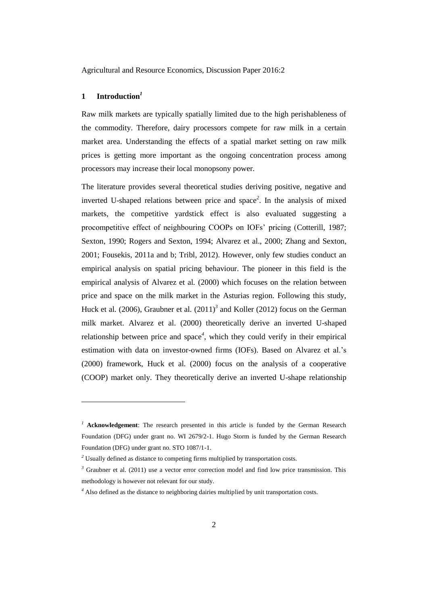Agricultural and Resource Economics, Discussion Paper 2016:2

# **1 Introduction** *1*

l

Raw milk markets are typically spatially limited due to the high perishableness of the commodity. Therefore, dairy processors compete for raw milk in a certain market area. Understanding the effects of a spatial market setting on raw milk prices is getting more important as the ongoing concentration process among processors may increase their local monopsony power.

The literature provides several theoretical studies deriving positive, negative and inverted U-shaped relations between price and space*<sup>2</sup>* . In the analysis of mixed markets, the competitive yardstick effect is also evaluated suggesting a procompetitive effect of neighbouring COOPs on IOFs' pricing (Cotterill, 1987; Sexton, 1990; Rogers and Sexton, 1994; Alvarez et al., 2000; Zhang and Sexton, 2001; Fousekis, 2011a and b; Tribl, 2012). However, only few studies conduct an empirical analysis on spatial pricing behaviour. The pioneer in this field is the empirical analysis of Alvarez et al*.* (2000) which focuses on the relation between price and space on the milk market in the Asturias region. Following this study, Huck et al*.* (2006), Graubner et al*.* (2011)*<sup>3</sup>* and Koller (2012) focus on the German milk market. Alvarez et al. (2000) theoretically derive an inverted U-shaped relationship between price and space*<sup>4</sup>* , which they could verify in their empirical estimation with data on investor-owned firms (IOFs). Based on Alvarez et al.'s (2000) framework, Huck et al*.* (2000) focus on the analysis of a cooperative (COOP) market only. They theoretically derive an inverted U-shape relationship

<sup>&</sup>lt;sup>1</sup> **Acknowledgement**: The research presented in this article is funded by the German Research Foundation (DFG) under grant no. WI 2679/2-1. Hugo Storm is funded by the German Research Foundation (DFG) under grant no. STO 1087/1-1.

<sup>&</sup>lt;sup>2</sup> Usually defined as distance to competing firms multiplied by transportation costs.

<sup>&</sup>lt;sup>3</sup> Graubner et al. (2011) use a vector error correction model and find low price transmission. This methodology is however not relevant for our study.

<sup>&</sup>lt;sup>4</sup> Also defined as the distance to neighboring dairies multiplied by unit transportation costs.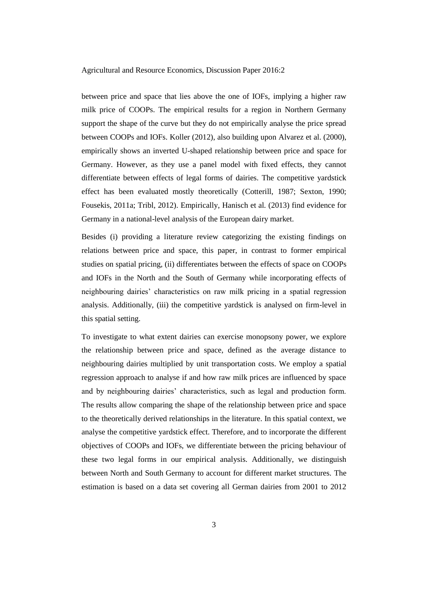Agricultural and Resource Economics, Discussion Paper 2016:2

between price and space that lies above the one of IOFs, implying a higher raw milk price of COOPs. The empirical results for a region in Northern Germany support the shape of the curve but they do not empirically analyse the price spread between COOPs and IOFs. Koller (2012), also building upon Alvarez et al. (2000), empirically shows an inverted U-shaped relationship between price and space for Germany. However, as they use a panel model with fixed effects, they cannot differentiate between effects of legal forms of dairies. The competitive yardstick effect has been evaluated mostly theoretically (Cotterill, 1987; Sexton, 1990; Fousekis, 2011a; Tribl, 2012). Empirically, Hanisch et al*.* (2013) find evidence for Germany in a national-level analysis of the European dairy market.

Besides (i) providing a literature review categorizing the existing findings on relations between price and space, this paper, in contrast to former empirical studies on spatial pricing, (ii) differentiates between the effects of space on COOPs and IOFs in the North and the South of Germany while incorporating effects of neighbouring dairies' characteristics on raw milk pricing in a spatial regression analysis. Additionally, (iii) the competitive yardstick is analysed on firm-level in this spatial setting.

To investigate to what extent dairies can exercise monopsony power, we explore the relationship between price and space, defined as the average distance to neighbouring dairies multiplied by unit transportation costs. We employ a spatial regression approach to analyse if and how raw milk prices are influenced by space and by neighbouring dairies' characteristics, such as legal and production form. The results allow comparing the shape of the relationship between price and space to the theoretically derived relationships in the literature. In this spatial context, we analyse the competitive yardstick effect. Therefore, and to incorporate the different objectives of COOPs and IOFs, we differentiate between the pricing behaviour of these two legal forms in our empirical analysis. Additionally, we distinguish between North and South Germany to account for different market structures. The estimation is based on a data set covering all German dairies from 2001 to 2012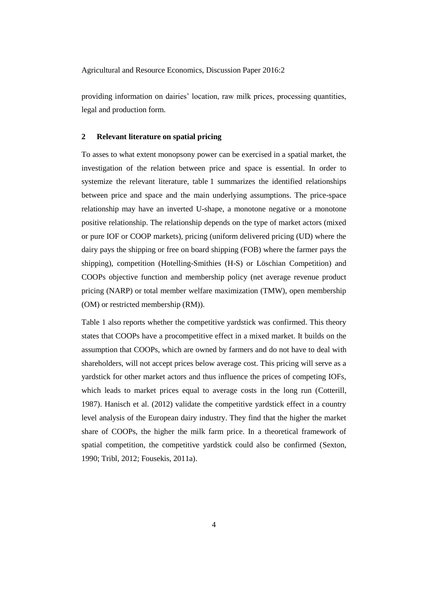Agricultural and Resource Economics, Discussion Paper 2016:2

providing information on dairies' location, raw milk prices, processing quantities, legal and production form.

## **2 Relevant literature on spatial pricing**

To asses to what extent monopsony power can be exercised in a spatial market, the investigation of the relation between price and space is essential. In order to systemize the relevant literature, table 1 summarizes the identified relationships between price and space and the main underlying assumptions. The price-space relationship may have an inverted U-shape, a monotone negative or a monotone positive relationship. The relationship depends on the type of market actors (mixed or pure IOF or COOP markets), pricing (uniform delivered pricing (UD) where the dairy pays the shipping or free on board shipping (FOB) where the farmer pays the shipping), competition (Hotelling-Smithies (H-S) or Löschian Competition) and COOPs objective function and membership policy (net average revenue product pricing (NARP) or total member welfare maximization (TMW), open membership (OM) or restricted membership (RM)).

Table 1 also reports whether the competitive yardstick was confirmed. This theory states that COOPs have a procompetitive effect in a mixed market. It builds on the assumption that COOPs, which are owned by farmers and do not have to deal with shareholders, will not accept prices below average cost. This pricing will serve as a yardstick for other market actors and thus influence the prices of competing IOFs, which leads to market prices equal to average costs in the long run (Cotterill, 1987). Hanisch et al*.* (2012) validate the competitive yardstick effect in a country level analysis of the European dairy industry. They find that the higher the market share of COOPs, the higher the milk farm price. In a theoretical framework of spatial competition, the competitive yardstick could also be confirmed (Sexton, 1990; Tribl, 2012; Fousekis, 2011a).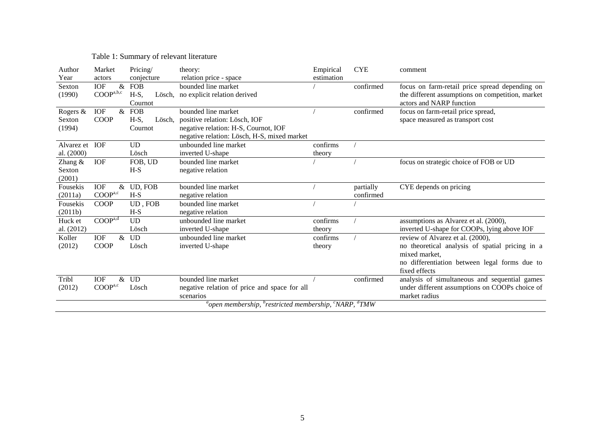| Table 1: Summary of relevant literature |
|-----------------------------------------|
|                                         |

| Author<br>Year | Market<br>actors               | Pricing/<br>conjecture | theory:<br>relation price - space                                                                 | Empirical<br>estimation | <b>CYE</b> | comment                                                                      |
|----------------|--------------------------------|------------------------|---------------------------------------------------------------------------------------------------|-------------------------|------------|------------------------------------------------------------------------------|
| Sexton         | IOF<br>$\&$                    | FOB                    | bounded line market                                                                               |                         | confirmed  | focus on farm-retail price spread depending on                               |
| (1990)         | COOP <sup>a,b,c</sup>          | H-S,<br>Cournot        | Lösch, no explicit relation derived                                                               |                         |            | the different assumptions on competition, market<br>actors and NARP function |
| Rogers &       | <b>IOF</b>                     | & FOB                  | bounded line market                                                                               |                         | confirmed  | focus on farm-retail price spread,                                           |
| Sexton         | <b>COOP</b>                    | $H-S$ ,<br>Lösch,      | positive relation: Lösch, IOF                                                                     |                         |            | space measured as transport cost                                             |
| (1994)         |                                | Cournot                | negative relation: H-S, Cournot, IOF                                                              |                         |            |                                                                              |
|                |                                |                        | negative relation: Lösch, H-S, mixed market                                                       |                         |            |                                                                              |
| Alvarez et     | <b>IOF</b>                     | <b>UD</b>              | unbounded line market                                                                             | confirms                |            |                                                                              |
| al. (2000)     |                                | Lösch                  | inverted U-shape                                                                                  | theory                  |            |                                                                              |
| Zhang &        | IOF                            | FOB, UD                | bounded line market                                                                               |                         |            | focus on strategic choice of FOB or UD                                       |
| Sexton         |                                | $H-S$                  | negative relation                                                                                 |                         |            |                                                                              |
| (2001)         |                                |                        |                                                                                                   |                         |            |                                                                              |
| Fousekis       | <b>IOF</b>                     | & UD, FOB              | bounded line market                                                                               |                         | partially  | CYE depends on pricing                                                       |
| (2011a)        | COOP <sup>a,c</sup>            | $H-S$                  | negative relation                                                                                 |                         | confirmed  |                                                                              |
| Fousekis       | <b>COOP</b>                    | UD, FOB                | bounded line market                                                                               |                         |            |                                                                              |
| (2011b)        |                                | $H-S$                  | negative relation                                                                                 |                         |            |                                                                              |
| Huck et        | $\overline{C O O P^{a,d}}$     | <b>UD</b>              | unbounded line market                                                                             |                         |            | assumptions as Alvarez et al. (2000),                                        |
| al. (2012)     |                                | Lösch                  | inverted U-shape                                                                                  | theory                  |            | inverted U-shape for COOPs, lying above IOF                                  |
| Koller         | <b>IOF</b><br>$\&$             | <b>UD</b>              | unbounded line market                                                                             | confirms                |            | review of Alvarez et al. (2000),                                             |
| (2012)         | <b>COOP</b>                    | Lösch                  | inverted U-shape                                                                                  | theory                  |            | no theoretical analysis of spatial pricing in a                              |
|                |                                |                        |                                                                                                   |                         |            | mixed market.                                                                |
|                |                                |                        |                                                                                                   |                         |            | no differentiation between legal forms due to                                |
|                |                                |                        |                                                                                                   |                         |            | fixed effects                                                                |
| Tribl          | $\&$<br><b>IOF</b>             | <b>UD</b>              | bounded line market                                                                               |                         | confirmed  | analysis of simultaneous and sequential games                                |
| (2012)         | $\mathrm{CoOP}^{\mathrm{a,c}}$ | Lösch                  | negative relation of price and space for all                                                      |                         |            | under different assumptions on COOPs choice of                               |
|                |                                |                        | scenarios                                                                                         |                         |            | market radius                                                                |
|                |                                |                        | $\alpha$ <sup>a</sup> open membership, $\beta$ restricted membership, $\alpha$ NARP, $\alpha$ TMW |                         |            |                                                                              |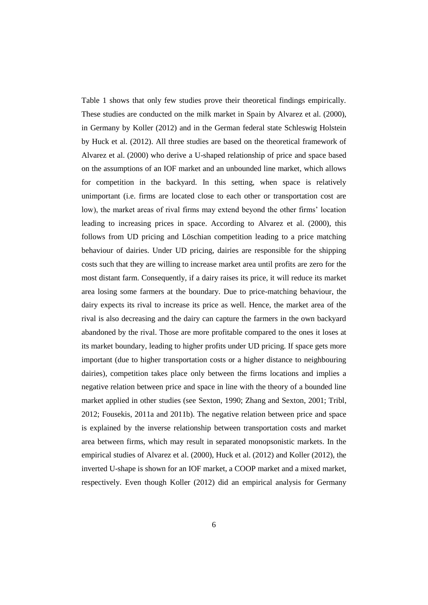Table 1 shows that only few studies prove their theoretical findings empirically. These studies are conducted on the milk market in Spain by Alvarez et al. (2000), in Germany by Koller (2012) and in the German federal state Schleswig Holstein by Huck et al*.* (2012). All three studies are based on the theoretical framework of Alvarez et al. (2000) who derive a U-shaped relationship of price and space based on the assumptions of an IOF market and an unbounded line market, which allows for competition in the backyard. In this setting, when space is relatively unimportant (i.e. firms are located close to each other or transportation cost are low), the market areas of rival firms may extend beyond the other firms' location leading to increasing prices in space. According to Alvarez et al. (2000), this follows from UD pricing and Löschian competition leading to a price matching behaviour of dairies. Under UD pricing, dairies are responsible for the shipping costs such that they are willing to increase market area until profits are zero for the most distant farm. Consequently, if a dairy raises its price, it will reduce its market area losing some farmers at the boundary. Due to price-matching behaviour, the dairy expects its rival to increase its price as well. Hence, the market area of the rival is also decreasing and the dairy can capture the farmers in the own backyard abandoned by the rival. Those are more profitable compared to the ones it loses at its market boundary, leading to higher profits under UD pricing. If space gets more important (due to higher transportation costs or a higher distance to neighbouring dairies), competition takes place only between the firms locations and implies a negative relation between price and space in line with the theory of a bounded line market applied in other studies (see Sexton, 1990; Zhang and Sexton, 2001; Tribl, 2012; Fousekis, 2011a and 2011b). The negative relation between price and space is explained by the inverse relationship between transportation costs and market area between firms, which may result in separated monopsonistic markets. In the empirical studies of Alvarez et al. (2000), Huck et al. (2012) and Koller (2012), the inverted U-shape is shown for an IOF market, a COOP market and a mixed market, respectively. Even though Koller (2012) did an empirical analysis for Germany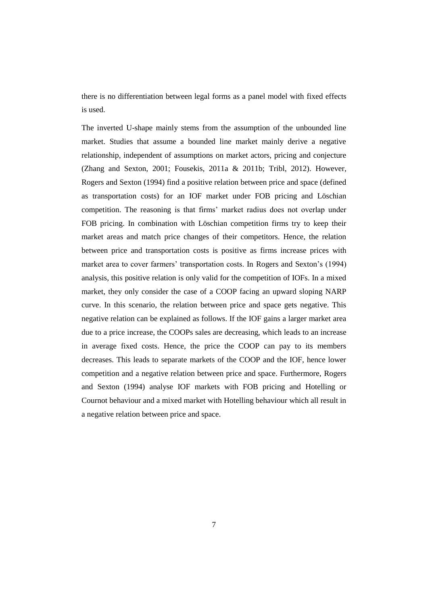there is no differentiation between legal forms as a panel model with fixed effects is used.

The inverted U-shape mainly stems from the assumption of the unbounded line market. Studies that assume a bounded line market mainly derive a negative relationship, independent of assumptions on market actors, pricing and conjecture (Zhang and Sexton, 2001; Fousekis, 2011a & 2011b; Tribl, 2012). However, Rogers and Sexton (1994) find a positive relation between price and space (defined as transportation costs) for an IOF market under FOB pricing and Löschian competition. The reasoning is that firms' market radius does not overlap under FOB pricing. In combination with Löschian competition firms try to keep their market areas and match price changes of their competitors. Hence, the relation between price and transportation costs is positive as firms increase prices with market area to cover farmers' transportation costs. In Rogers and Sexton's (1994) analysis, this positive relation is only valid for the competition of IOFs. In a mixed market, they only consider the case of a COOP facing an upward sloping NARP curve. In this scenario, the relation between price and space gets negative. This negative relation can be explained as follows. If the IOF gains a larger market area due to a price increase, the COOPs sales are decreasing, which leads to an increase in average fixed costs. Hence, the price the COOP can pay to its members decreases. This leads to separate markets of the COOP and the IOF, hence lower competition and a negative relation between price and space. Furthermore, Rogers and Sexton (1994) analyse IOF markets with FOB pricing and Hotelling or Cournot behaviour and a mixed market with Hotelling behaviour which all result in a negative relation between price and space.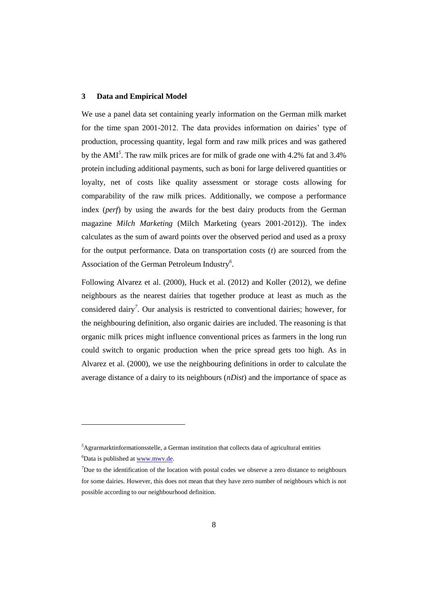### **3 Data and Empirical Model**

We use a panel data set containing yearly information on the German milk market for the time span 2001-2012. The data provides information on dairies' type of production, processing quantity, legal form and raw milk prices and was gathered by the AMI*<sup>5</sup>* . The raw milk prices are for milk of grade one with 4.2% fat and 3.4% protein including additional payments, such as boni for large delivered quantities or loyalty, net of costs like quality assessment or storage costs allowing for comparability of the raw milk prices. Additionally, we compose a performance index (*perf*) by using the awards for the best dairy products from the German magazine *Milch Marketing* (Milch Marketing (years 2001-2012)). The index calculates as the sum of award points over the observed period and used as a proxy for the output performance. Data on transportation costs (*t*) are sourced from the Association of the German Petroleum Industry*<sup>6</sup>* .

Following Alvarez et al. (2000), Huck et al. (2012) and Koller (2012), we define neighbours as the nearest dairies that together produce at least as much as the considered dairy*<sup>7</sup>* . Our analysis is restricted to conventional dairies; however, for the neighbouring definition, also organic dairies are included. The reasoning is that organic milk prices might influence conventional prices as farmers in the long run could switch to organic production when the price spread gets too high. As in Alvarez et al. (2000), we use the neighbouring definitions in order to calculate the average distance of a dairy to its neighbours (*nDist*) and the importance of space as

l

*<sup>5</sup>*Agrarmarktinformationsstelle, a German institution that collects data of agricultural entities

*<sup>6</sup>*Data is published at [www.mwv.de.](http://www.mwv.de/) 

*<sup>7</sup>*Due to the identification of the location with postal codes we observe a zero distance to neighbours for some dairies. However, this does not mean that they have zero number of neighbours which is not possible according to our neighbourhood definition.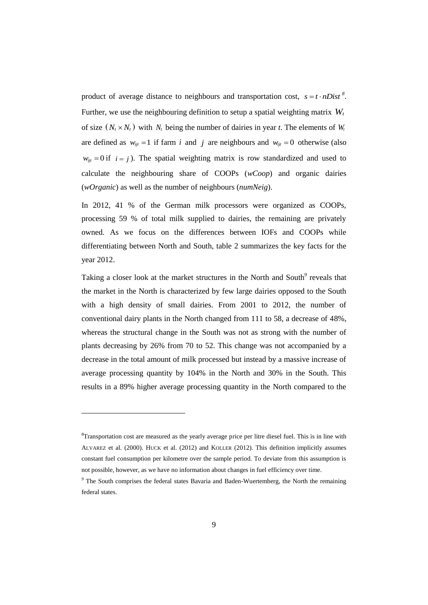product of average distance to neighbours and transportation cost,  $s = t \cdot nDist^8$ . Further, we use the neighbouring definition to setup a spatial weighting matrix  $W_t$ of size  $(N_t \times N_t)$  with  $N_t$  being the number of dairies in year *t*. The elements of  $W_t$ are defined as  $w_{ijt} = 1$  if farm *i* and *j* are neighbours and  $w_{ijt} = 0$  otherwise (also  $w_{ijt} = 0$  if  $i = j$ ). The spatial weighting matrix is row standardized and used to calculate the neighbouring share of COOPs (*wCoop*) and organic dairies (*wOrganic*) as well as the number of neighbours (*numNeig*).

In 2012, 41 % of the German milk processors were organized as COOPs, processing 59 % of total milk supplied to dairies, the remaining are privately owned. As we focus on the differences between IOFs and COOPs while differentiating between North and South, table 2 summarizes the key facts for the year 2012.

Taking a closer look at the market structures in the North and South<sup>9</sup> reveals that the market in the North is characterized by few large dairies opposed to the South with a high density of small dairies. From 2001 to 2012, the number of conventional dairy plants in the North changed from 111 to 58, a decrease of 48%, whereas the structural change in the South was not as strong with the number of plants decreasing by 26% from 70 to 52. This change was not accompanied by a decrease in the total amount of milk processed but instead by a massive increase of average processing quantity by 104% in the North and 30% in the South. This results in a 89% higher average processing quantity in the North compared to the

 $\overline{a}$ 

*<sup>8</sup>*Transportation cost are measured as the yearly average price per litre diesel fuel. This is in line with ALVAREZ et al. (2000). HUCK et al. (2012) and KOLLER (2012). This definition implicitly assumes constant fuel consumption per kilometre over the sample period. To deviate from this assumption is not possible, however, as we have no information about changes in fuel efficiency over time.

<sup>&</sup>lt;sup>9</sup> The South comprises the federal states Bavaria and Baden-Wuertemberg, the North the remaining federal states.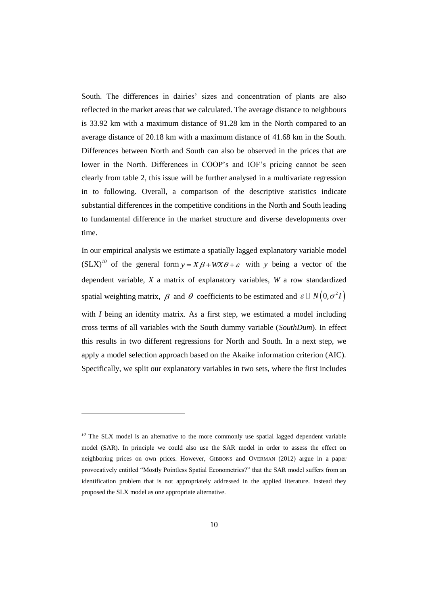South. The differences in dairies' sizes and concentration of plants are also reflected in the market areas that we calculated. The average distance to neighbours is 33.92 km with a maximum distance of 91.28 km in the North compared to an average distance of 20.18 km with a maximum distance of 41.68 km in the South. Differences between North and South can also be observed in the prices that are lower in the North. Differences in COOP's and IOF's pricing cannot be seen clearly from table 2, this issue will be further analysed in a multivariate regression in to following. Overall, a comparison of the descriptive statistics indicate substantial differences in the competitive conditions in the North and South leading to fundamental difference in the market structure and diverse developments over time.

In our empirical analysis we estimate a spatially lagged explanatory variable model  $(SLX)^{10}$  of the general form  $y = X\beta + WX\theta + \varepsilon$  with y being a vector of the dependent variable, *X* a matrix of explanatory variables, *W* a row standardized spatial weighting matrix,  $\beta$  and  $\theta$  coefficients to be estimated and  $\epsilon \, \Box \, N(0, \sigma^2 I)$ with *I* being an identity matrix. As a first step, we estimated a model including cross terms of all variables with the South dummy variable (*SouthDum*). In effect this results in two different regressions for North and South. In a next step, we apply a model selection approach based on the Akaike information criterion (AIC). Specifically, we split our explanatory variables in two sets, where the first includes

 $\overline{a}$ 

<sup>&</sup>lt;sup>10</sup> The SLX model is an alternative to the more commonly use spatial lagged dependent variable model (SAR). In principle we could also use the SAR model in order to assess the effect on neighboring prices on own prices. However, GIBBONS and OVERMAN (2012) argue in a paper provocatively entitled "Mostly Pointless Spatial Econometrics?" that the SAR model suffers from an identification problem that is not appropriately addressed in the applied literature. Instead they proposed the SLX model as one appropriate alternative.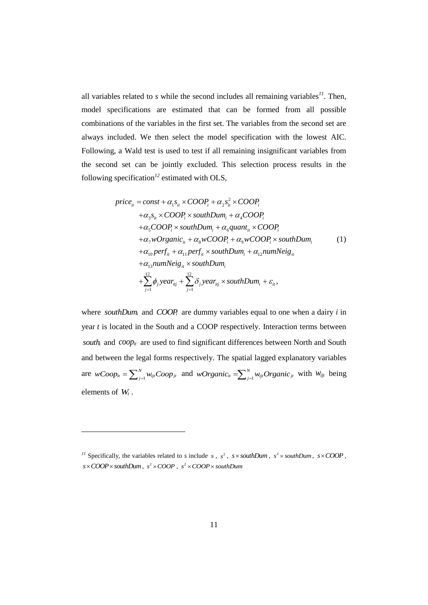all variables related to  $s$  while the second includes all remaining variables<sup> $11$ </sup>. Then, model specifications are estimated that can be formed from all possible combinations of the variables in the first set. The variables from the second set are always included. We then select the model specification with the lowest AIC. Following, a Wald test is used to test if all remaining insignificant variables from the second set can be jointly excluded. This selection process results in the following specification*<sup>12</sup>* estimated with OLS,

pretricative function

\n
$$
\text{estimate with OLS,}
$$
\n
$$
\text{price}_{ii} = \text{const} + \alpha_{1} s_{ii} \times \text{COOP}_{i} + \alpha_{2} s_{ii}^{2} \times \text{COOP}_{i}
$$
\n
$$
+ \alpha_{3} s_{ii} \times \text{COOP}_{i} \times \text{southDum}_{i} + \alpha_{4} \text{COOP}_{i}
$$
\n
$$
+ \alpha_{5} \text{COOP}_{i} \times \text{southDum}_{i} + \alpha_{6} \text{quant}_{ii} \times \text{COOP}_{i}
$$
\n
$$
+ \alpha_{7} \text{wOrganic}_{ii} + \alpha_{8} \text{wCOOP}_{i} + \alpha_{9} \text{wCOOP}_{i} \times \text{southDum}_{i}
$$
\n
$$
+ \alpha_{10} \text{perf}_{ii} + \alpha_{11} \text{perf}_{ii} \times \text{southDum}_{i} + \alpha_{12} \text{numNeig}_{ii}
$$
\n
$$
+ \alpha_{13} \text{numNeig}_{ii} \times \text{southDum}_{i}
$$
\n
$$
+ \sum_{j=1}^{12} \phi_{j} \text{year}_{ij} + \sum_{j=1}^{12} \delta_{j} \text{year}_{ij} \times \text{southDum}_{i} + \varepsilon_{ii},
$$

where *southDum<sup>i</sup>* and *COOP<sup>i</sup>* are dummy variables equal to one when a dairy *i* in year *t* is located in the South and a COOP respectively. Interaction terms between *south*<sub>i</sub> and  $\text{coop}_{it}$  are used to find significant differences between North and South and between the legal forms respectively. The spatial lagged explanatory variables are  $wCoop_{it} = \sum_{j=1}^{N}$  $wCoop_{it} = \sum_{j=1}^{N} w_{ijt} Coop_{jt}$  and  $wOrganic_{it} = \sum_{j=1}^{N} w_{ijt}$ *wOrganic*<sub>*it*</sub> =  $\sum_{j=1}^{N} w_{ijt}$ *Organic*<sub>*jt*</sub> with  $w_{ijt}$  being elements of *Wt* .

l

<sup>&</sup>lt;sup>11</sup> Specifically, the variables related to *s* include *s*,  $s^2$ ,  $s \times southDum$ ,  $s^2 \times southDum$ ,  $s \times COOP$ ,  $s \times COOP \times southDum$ ,  $s^2 \times COOP$ ,  $s^2 \times COOP \times southDum$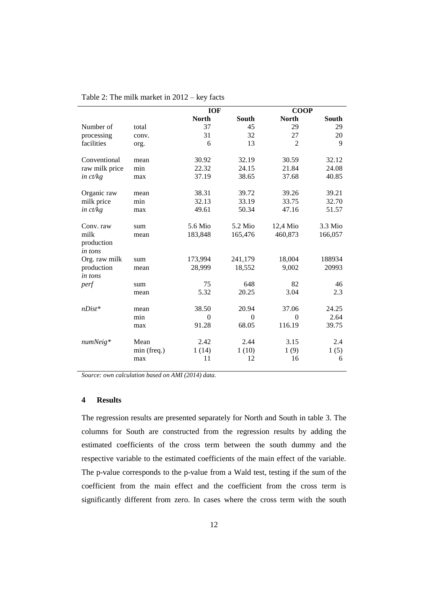|                               |             | <b>IOF</b>   |              |                | <b>COOP</b>  |  |
|-------------------------------|-------------|--------------|--------------|----------------|--------------|--|
|                               |             | <b>North</b> | <b>South</b> | <b>North</b>   | <b>South</b> |  |
| Number of                     | total       | 37           | 45           | 29             | 29           |  |
| processing                    | conv.       | 31           | 32           | 27             | 20           |  |
| facilities                    | org.        | 6            | 13           | $\overline{2}$ | 9            |  |
| Conventional                  | mean        | 30.92        | 32.19        | 30.59          | 32.12        |  |
| raw milk price                | min         | 22.32        | 24.15        | 21.84          | 24.08        |  |
| in $ct/kg$                    | max         | 37.19        | 38.65        | 37.68          | 40.85        |  |
| Organic raw                   | mean        | 38.31        | 39.72        | 39.26          | 39.21        |  |
| milk price                    | min         | 32.13        | 33.19        | 33.75          | 32.70        |  |
| in $ct/kg$                    | max         | 49.61        | 50.34        | 47.16          | 51.57        |  |
| Conv. raw                     | sum         | 5.6 Mio      | 5.2 Mio      | 12,4 Mio       | 3.3 Mio      |  |
| milk<br>production<br>in tons | mean        | 183,848      | 165,476      | 460,873        | 166,057      |  |
| Org. raw milk                 | sum         | 173,994      | 241,179      | 18,004         | 188934       |  |
| production<br>in tons         | mean        | 28,999       | 18,552       | 9,002          | 20993        |  |
| perf                          | sum         | 75           | 648          | 82             | 46           |  |
|                               | mean        | 5.32         | 20.25        | 3.04           | 2.3          |  |
| $nDist^*$                     | mean        | 38.50        | 20.94        | 37.06          | 24.25        |  |
|                               | min         | $\theta$     | $\theta$     | $\theta$       | 2.64         |  |
|                               | max         | 91.28        | 68.05        | 116.19         | 39.75        |  |
| $numNeig*$                    | Mean        | 2.42         | 2.44         | 3.15           | 2.4          |  |
|                               | min (freq.) | 1(14)        | 1(10)        | 1(9)           | 1(5)         |  |
|                               | max         | 11           | 12           | 16             | 6            |  |

Table 2: The milk market in 2012 – key facts

*Source: own calculation based on AMI (2014) data.*

### **4 Results**

The regression results are presented separately for North and South in table 3. The columns for South are constructed from the regression results by adding the estimated coefficients of the cross term between the south dummy and the respective variable to the estimated coefficients of the main effect of the variable. The p-value corresponds to the p-value from a Wald test, testing if the sum of the coefficient from the main effect and the coefficient from the cross term is significantly different from zero. In cases where the cross term with the south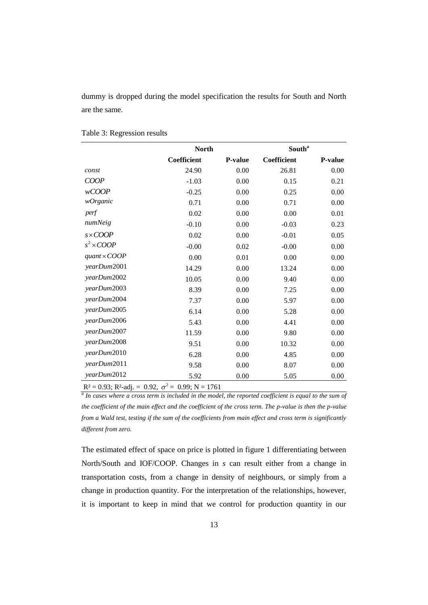dummy is dropped during the model specification the results for South and North are the same.

|                     |             | <b>North</b>   |             | South <sup>a</sup> |  |  |
|---------------------|-------------|----------------|-------------|--------------------|--|--|
|                     | Coefficient | <b>P-value</b> | Coefficient | <b>P-value</b>     |  |  |
| const               | 24.90       | 0.00           | 26.81       | 0.00               |  |  |
| <b>COOP</b>         | $-1.03$     | 0.00           | 0.15        | 0.21               |  |  |
| wCOOP               | $-0.25$     | 0.00           | 0.25        | 0.00               |  |  |
| wOrganic            | 0.71        | 0.00           | 0.71        | 0.00               |  |  |
| perf                | 0.02        | 0.00           | 0.00        | 0.01               |  |  |
| numNeig             | $-0.10$     | 0.00           | $-0.03$     | 0.23               |  |  |
| $s \times COOP$     | 0.02        | 0.00           | $-0.01$     | 0.05               |  |  |
| $s^2 \times COOP$   | $-0.00$     | 0.02           | $-0.00$     | 0.00               |  |  |
| $quant \times COOP$ | 0.00        | 0.01           | 0.00        | 0.00               |  |  |
| yearDum2001         | 14.29       | 0.00           | 13.24       | 0.00               |  |  |
| yearDum2002         | 10.05       | 0.00           | 9.40        | 0.00               |  |  |
| yearDum2003         | 8.39        | 0.00           | 7.25        | 0.00               |  |  |
| yearDum2004         | 7.37        | 0.00           | 5.97        | 0.00               |  |  |
| yearDum2005         | 6.14        | 0.00           | 5.28        | 0.00               |  |  |
| yearDum2006         | 5.43        | 0.00           | 4.41        | 0.00               |  |  |
| yearDum2007         | 11.59       | 0.00           | 9.80        | 0.00               |  |  |
| yearDum2008         | 9.51        | 0.00           | 10.32       | 0.00               |  |  |
| yearDum2010         | 6.28        | 0.00           | 4.85        | 0.00               |  |  |
| yearDum2011         | 9.58        | 0.00           | 8.07        | 0.00               |  |  |
| yearDum2012         | 5.92        | 0.00           | 5.05        | 0.00               |  |  |

|  | Table 3: Regression results |  |
|--|-----------------------------|--|
|--|-----------------------------|--|

 $R^2 = 0.93$ ;  $R^2$ -adj. = 0.92,  $\sigma^2 = 0.99$ ;  $N = 1761$ 

*a In cases where a cross term is included in the model, the reported coefficient is equal to the sum of the coefficient of the main effect and the coefficient of the cross term. The p-value is then the p-value from a Wald test, testing if the sum of the coefficients from main effect and cross term is significantly different from zero.*

The estimated effect of space on price is plotted in figure 1 differentiating between North/South and IOF/COOP. Changes in *s* can result either from a change in transportation costs, from a change in density of neighbours, or simply from a change in production quantity. For the interpretation of the relationships, however, it is important to keep in mind that we control for production quantity in our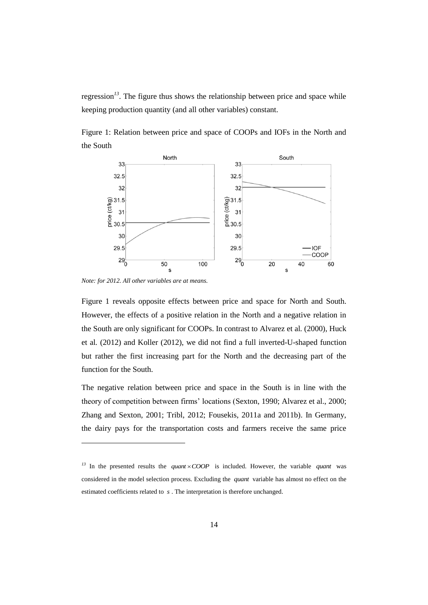regression<sup> $13$ </sup>. The figure thus shows the relationship between price and space while keeping production quantity (and all other variables) constant.

Figure 1: Relation between price and space of COOPs and IOFs in the North and the South



*Note: for 2012. All other variables are at means.*

l

Figure 1 reveals opposite effects between price and space for North and South. However, the effects of a positive relation in the North and a negative relation in the South are only significant for COOPs. In contrast to Alvarez et al*.* (2000), Huck et al*.* (2012) and Koller (2012), we did not find a full inverted-U-shaped function but rather the first increasing part for the North and the decreasing part of the function for the South.

The negative relation between price and space in the South is in line with the theory of competition between firms' locations (Sexton, 1990; Alvarez et al., 2000; Zhang and Sexton, 2001; Tribl, 2012; Fousekis, 2011a and 2011b). In Germany, the dairy pays for the transportation costs and farmers receive the same price

 $^{13}$  In the presented results the *quant*  $\times COOP$  is included. However, the variable *quant* was considered in the model selection process. Excluding the *quant* variable has almost no effect on the estimated coefficients related to *s* . The interpretation is therefore unchanged.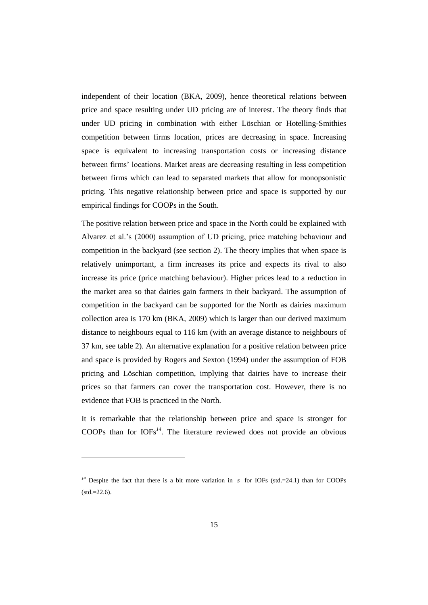independent of their location (BKA, 2009), hence theoretical relations between price and space resulting under UD pricing are of interest. The theory finds that under UD pricing in combination with either Löschian or Hotelling-Smithies competition between firms location, prices are decreasing in space. Increasing space is equivalent to increasing transportation costs or increasing distance between firms' locations. Market areas are decreasing resulting in less competition between firms which can lead to separated markets that allow for monopsonistic pricing. This negative relationship between price and space is supported by our empirical findings for COOPs in the South.

The positive relation between price and space in the North could be explained with Alvarez et al.'s (2000) assumption of UD pricing, price matching behaviour and competition in the backyard (see section 2). The theory implies that when space is relatively unimportant, a firm increases its price and expects its rival to also increase its price (price matching behaviour). Higher prices lead to a reduction in the market area so that dairies gain farmers in their backyard. The assumption of competition in the backyard can be supported for the North as dairies maximum collection area is 170 km (BKA, 2009) which is larger than our derived maximum distance to neighbours equal to 116 km (with an average distance to neighbours of 37 km, see table 2). An alternative explanation for a positive relation between price and space is provided by Rogers and Sexton (1994) under the assumption of FOB pricing and Löschian competition, implying that dairies have to increase their prices so that farmers can cover the transportation cost. However, there is no evidence that FOB is practiced in the North.

It is remarkable that the relationship between price and space is stronger for COOPs than for IOFs*<sup>14</sup>*. The literature reviewed does not provide an obvious

l

<sup>&</sup>lt;sup>14</sup> Despite the fact that there is a bit more variation in s for IOFs (std.=24.1) than for COOPs  $(stat=22.6)$ .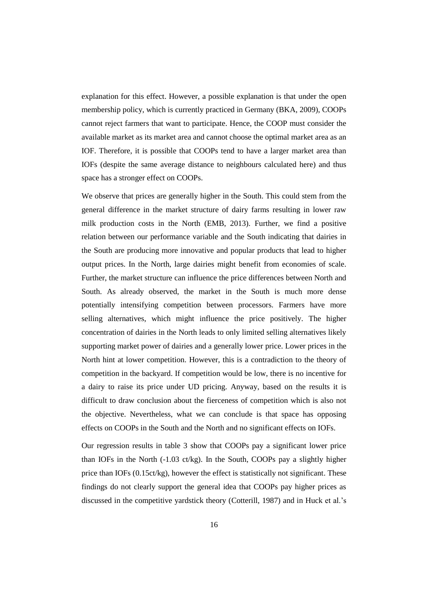explanation for this effect. However, a possible explanation is that under the open membership policy, which is currently practiced in Germany (BKA, 2009), COOPs cannot reject farmers that want to participate. Hence, the COOP must consider the available market as its market area and cannot choose the optimal market area as an IOF. Therefore, it is possible that COOPs tend to have a larger market area than IOFs (despite the same average distance to neighbours calculated here) and thus space has a stronger effect on COOPs.

We observe that prices are generally higher in the South. This could stem from the general difference in the market structure of dairy farms resulting in lower raw milk production costs in the North (EMB, 2013). Further, we find a positive relation between our performance variable and the South indicating that dairies in the South are producing more innovative and popular products that lead to higher output prices. In the North, large dairies might benefit from economies of scale. Further, the market structure can influence the price differences between North and South. As already observed, the market in the South is much more dense potentially intensifying competition between processors. Farmers have more selling alternatives, which might influence the price positively. The higher concentration of dairies in the North leads to only limited selling alternatives likely supporting market power of dairies and a generally lower price. Lower prices in the North hint at lower competition. However, this is a contradiction to the theory of competition in the backyard. If competition would be low, there is no incentive for a dairy to raise its price under UD pricing. Anyway, based on the results it is difficult to draw conclusion about the fierceness of competition which is also not the objective. Nevertheless, what we can conclude is that space has opposing effects on COOPs in the South and the North and no significant effects on IOFs.

Our regression results in table 3 show that COOPs pay a significant lower price than IOFs in the North (-1.03 ct/kg). In the South, COOPs pay a slightly higher price than IOFs (0.15ct/kg), however the effect is statistically not significant. These findings do not clearly support the general idea that COOPs pay higher prices as discussed in the competitive yardstick theory (Cotterill, 1987) and in Huck et al.'s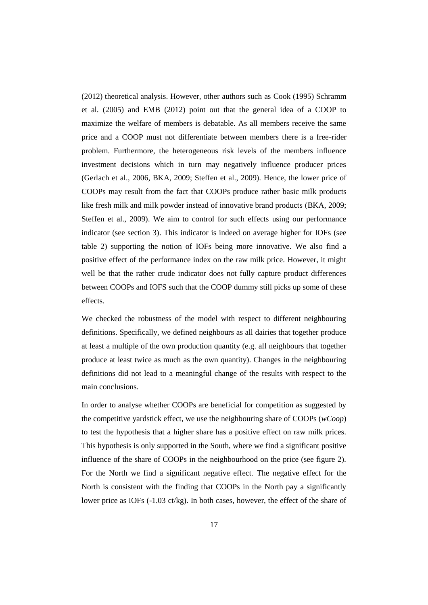(2012) theoretical analysis. However, other authors such as Cook (1995) Schramm et al*.* (2005) and EMB (2012) point out that the general idea of a COOP to maximize the welfare of members is debatable. As all members receive the same price and a COOP must not differentiate between members there is a free-rider problem. Furthermore, the heterogeneous risk levels of the members influence investment decisions which in turn may negatively influence producer prices (Gerlach et al.*,* 2006, BKA, 2009; Steffen et al., 2009). Hence, the lower price of COOPs may result from the fact that COOPs produce rather basic milk products like fresh milk and milk powder instead of innovative brand products (BKA, 2009; Steffen et al., 2009). We aim to control for such effects using our performance indicator (see section 3). This indicator is indeed on average higher for IOFs (see table 2) supporting the notion of IOFs being more innovative. We also find a positive effect of the performance index on the raw milk price. However, it might well be that the rather crude indicator does not fully capture product differences between COOPs and IOFS such that the COOP dummy still picks up some of these effects.

We checked the robustness of the model with respect to different neighbouring definitions. Specifically, we defined neighbours as all dairies that together produce at least a multiple of the own production quantity (e.g. all neighbours that together produce at least twice as much as the own quantity). Changes in the neighbouring definitions did not lead to a meaningful change of the results with respect to the main conclusions.

In order to analyse whether COOPs are beneficial for competition as suggested by the competitive yardstick effect, we use the neighbouring share of COOPs (*wCoop*) to test the hypothesis that a higher share has a positive effect on raw milk prices. This hypothesis is only supported in the South, where we find a significant positive influence of the share of COOPs in the neighbourhood on the price (see figure 2). For the North we find a significant negative effect. The negative effect for the North is consistent with the finding that COOPs in the North pay a significantly lower price as IOFs (-1.03 ct/kg). In both cases, however, the effect of the share of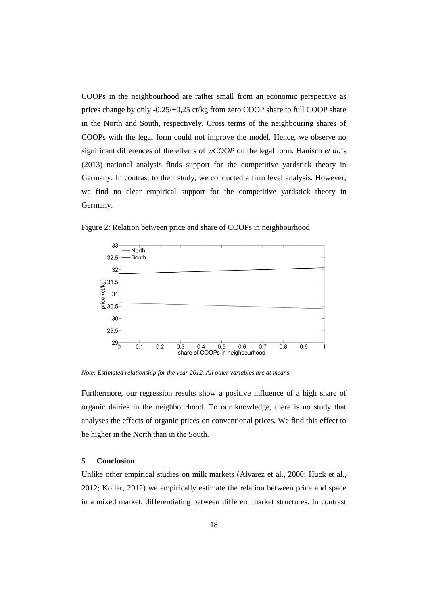COOPs in the neighbourhood are rather small from an economic perspective as prices change by only -0.25/+0,25 ct/kg from zero COOP share to full COOP share in the North and South, respectively. Cross terms of the neighbouring shares of COOPs with the legal form could not improve the model. Hence, we observe no significant differences of the effects of *wCOOP* on the legal form. Hanisch *et al.*'s (2013) national analysis finds support for the competitive yardstick theory in Germany. In contrast to their study, we conducted a firm level analysis. However, we find no clear empirical support for the competitive yardstick theory in Germany.



Figure 2: Relation between price and share of COOPs in neighbourhood

*Note: Estimated relationship for the year 2012. All other variables are at means.*

Furthermore, our regression results show a positive influence of a high share of organic dairies in the neighbourhood. To our knowledge, there is no study that analyses the effects of organic prices on conventional prices. We find this effect to be higher in the North than in the South.

# **5 Conclusion**

Unlike other empirical studies on milk markets (Alvarez et al., 2000; Huck et al., 2012; Koller, 2012) we empirically estimate the relation between price and space in a mixed market, differentiating between different market structures. In contrast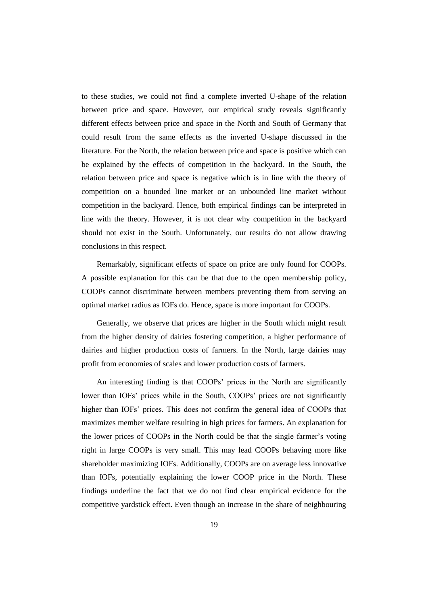to these studies, we could not find a complete inverted U-shape of the relation between price and space. However, our empirical study reveals significantly different effects between price and space in the North and South of Germany that could result from the same effects as the inverted U-shape discussed in the literature. For the North, the relation between price and space is positive which can be explained by the effects of competition in the backyard. In the South, the relation between price and space is negative which is in line with the theory of competition on a bounded line market or an unbounded line market without competition in the backyard. Hence, both empirical findings can be interpreted in line with the theory. However, it is not clear why competition in the backyard should not exist in the South. Unfortunately, our results do not allow drawing conclusions in this respect.

Remarkably, significant effects of space on price are only found for COOPs. A possible explanation for this can be that due to the open membership policy, COOPs cannot discriminate between members preventing them from serving an optimal market radius as IOFs do. Hence, space is more important for COOPs.

Generally, we observe that prices are higher in the South which might result from the higher density of dairies fostering competition, a higher performance of dairies and higher production costs of farmers. In the North, large dairies may profit from economies of scales and lower production costs of farmers.

An interesting finding is that COOPs' prices in the North are significantly lower than IOFs' prices while in the South, COOPs' prices are not significantly higher than IOFs' prices. This does not confirm the general idea of COOPs that maximizes member welfare resulting in high prices for farmers. An explanation for the lower prices of COOPs in the North could be that the single farmer's voting right in large COOPs is very small. This may lead COOPs behaving more like shareholder maximizing IOFs. Additionally, COOPs are on average less innovative than IOFs, potentially explaining the lower COOP price in the North. These findings underline the fact that we do not find clear empirical evidence for the competitive yardstick effect. Even though an increase in the share of neighbouring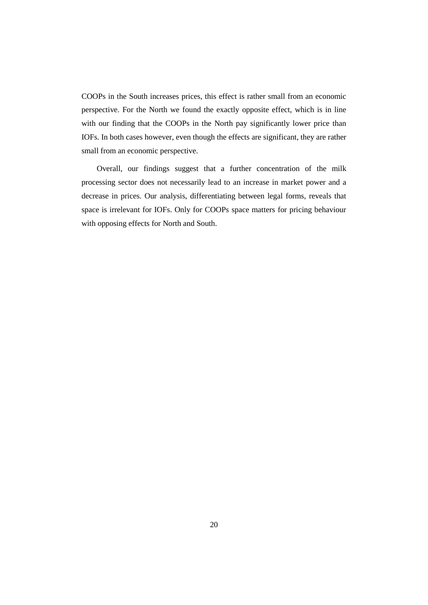COOPs in the South increases prices, this effect is rather small from an economic perspective. For the North we found the exactly opposite effect, which is in line with our finding that the COOPs in the North pay significantly lower price than IOFs. In both cases however, even though the effects are significant, they are rather small from an economic perspective.

Overall, our findings suggest that a further concentration of the milk processing sector does not necessarily lead to an increase in market power and a decrease in prices. Our analysis, differentiating between legal forms, reveals that space is irrelevant for IOFs. Only for COOPs space matters for pricing behaviour with opposing effects for North and South.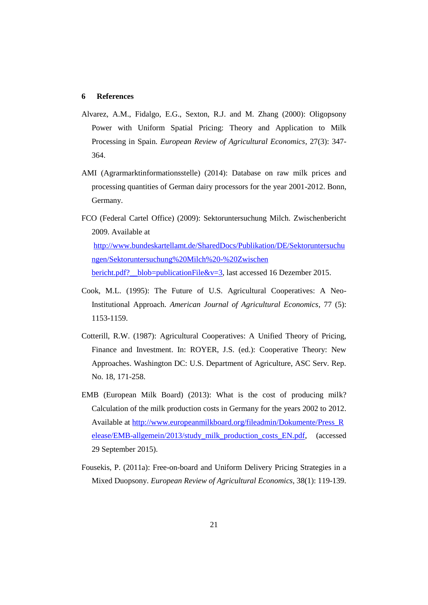#### **6 References**

- Alvarez, A.M., Fidalgo, E.G., Sexton, R.J. and M. Zhang (2000): Oligopsony Power with Uniform Spatial Pricing: Theory and Application to Milk Processing in Spain. *European Review of Agricultural Economics*, 27(3): 347- 364.
- AMI (Agrarmarktinformationsstelle) (2014): Database on raw milk prices and processing quantities of German dairy processors for the year 2001-2012. Bonn, Germany.
- FCO (Federal Cartel Office) (2009): Sektoruntersuchung Milch. Zwischenbericht 2009. Available at [http://www.bundeskartellamt.de/SharedDocs/Publikation/DE/Sektoruntersuchu](http://www.bundeskartellamt.de/SharedDocs/Publikation/DE/Sektoruntersuchungen/Sektoruntersuchung%20Milch%20-%20Zwischen%20bericht.pdf?__blob=publicationFile&v=3) [ngen/Sektoruntersuchung%20Milch%20-%20Zwischen](http://www.bundeskartellamt.de/SharedDocs/Publikation/DE/Sektoruntersuchungen/Sektoruntersuchung%20Milch%20-%20Zwischen%20bericht.pdf?__blob=publicationFile&v=3)  bericht.pdf? blob=publicationFile&v=3, last accessed 16 Dezember 2015.
- Cook, M.L. (1995): The Future of U.S. Agricultural Cooperatives: A Neo-Institutional Approach. *American Journal of Agricultural Economics*, 77 (5): 1153-1159.
- Cotterill, R.W. (1987): Agricultural Cooperatives: A Unified Theory of Pricing, Finance and Investment. In: ROYER, J.S. (ed.): Cooperative Theory: New Approaches. Washington DC: U.S. Department of Agriculture, ASC Serv. Rep. No. 18, 171-258.
- EMB (European Milk Board) (2013): What is the cost of producing milk? Calculation of the milk production costs in Germany for the years 2002 to 2012. Available at [http://www.europeanmilkboard.org/fileadmin/Dokumente/Press\\_R](http://www.europeanmilkboard.org/fileadmin/Dokumente/Press_Release/EMB-allgemein/2013/study_milk_production_costs_EN.pdf) [elease/EMB-allgemein/2013/study\\_milk\\_production\\_costs\\_EN.pdf,](http://www.europeanmilkboard.org/fileadmin/Dokumente/Press_Release/EMB-allgemein/2013/study_milk_production_costs_EN.pdf) (accessed 29 September 2015).
- Fousekis, P. (2011a): Free-on-board and Uniform Delivery Pricing Strategies in a Mixed Duopsony. *European Review of Agricultural Economics*, 38(1): 119-139.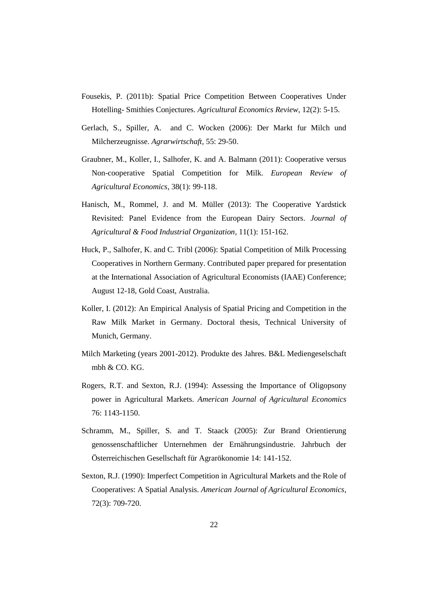- Fousekis, P. (2011b): Spatial Price Competition Between Cooperatives Under Hotelling- Smithies Conjectures. *Agricultural Economics Review*, 12(2): 5-15.
- Gerlach, S., Spiller, A. and C. Wocken (2006): Der Markt fur Milch und Milcherzeugnisse. *Agrarwirtschaft,* 55: 29-50.
- Graubner, M., Koller, I., Salhofer, K. and A. Balmann (2011): Cooperative versus Non-cooperative Spatial Competition for Milk. *European Review of Agricultural Economics*, 38(1): 99-118.
- Hanisch, M., Rommel, J. and M. Müller (2013): The Cooperative Yardstick Revisited: Panel Evidence from the European Dairy Sectors. *Journal of Agricultural & Food Industrial Organization*, 11(1): 151-162.
- Huck, P., Salhofer, K. and C. Tribl (2006): Spatial Competition of Milk Processing Cooperatives in Northern Germany. Contributed paper prepared for presentation at the International Association of Agricultural Economists (IAAE) Conference; August 12-18, Gold Coast, Australia.
- Koller, I. (2012): An Empirical Analysis of Spatial Pricing and Competition in the Raw Milk Market in Germany. Doctoral thesis, Technical University of Munich, Germany.
- Milch Marketing (years 2001-2012). Produkte des Jahres. B&L Mediengeselschaft mbh & CO. KG.
- Rogers, R.T. and Sexton, R.J. (1994): Assessing the Importance of Oligopsony power in Agricultural Markets. *American Journal of Agricultural Economics* 76: 1143-1150.
- Schramm, M., Spiller, S. and T. Staack (2005): Zur Brand Orientierung genossenschaftlicher Unternehmen der Ernährungsindustrie. Jahrbuch der Österreichischen Gesellschaft für Agrarökonomie 14: 141-152.
- Sexton, R.J. (1990): Imperfect Competition in Agricultural Markets and the Role of Cooperatives: A Spatial Analysis. *American Journal of Agricultural Economics*, 72(3): 709-720.